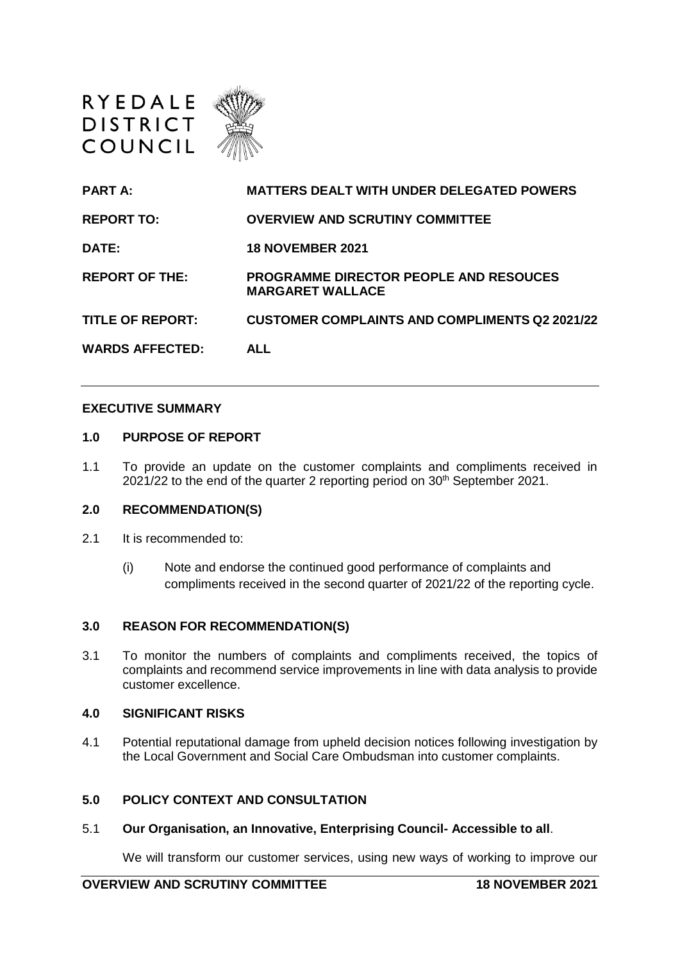

| <b>PART A:</b>          | <b>MATTERS DEALT WITH UNDER DELEGATED POWERS</b>                  |
|-------------------------|-------------------------------------------------------------------|
| <b>REPORT TO:</b>       | <b>OVERVIEW AND SCRUTINY COMMITTEE</b>                            |
| DATE:                   | <b>18 NOVEMBER 2021</b>                                           |
| <b>REPORT OF THE:</b>   | PROGRAMME DIRECTOR PEOPLE AND RESOUCES<br><b>MARGARET WALLACE</b> |
| <b>TITLE OF REPORT:</b> | <b>CUSTOMER COMPLAINTS AND COMPLIMENTS Q2 2021/22</b>             |
| <b>WARDS AFFECTED:</b>  | <b>ALL</b>                                                        |

#### **EXECUTIVE SUMMARY**

#### **1.0 PURPOSE OF REPORT**

1.1 To provide an update on the customer complaints and compliments received in  $2021/22$  to the end of the quarter 2 reporting period on  $30<sup>th</sup>$  September 2021.

#### **2.0 RECOMMENDATION(S)**

- 2.1 It is recommended to:
	- (i) Note and endorse the continued good performance of complaints and compliments received in the second quarter of 2021/22 of the reporting cycle.

#### **3.0 REASON FOR RECOMMENDATION(S)**

3.1 To monitor the numbers of complaints and compliments received, the topics of complaints and recommend service improvements in line with data analysis to provide customer excellence.

### **4.0 SIGNIFICANT RISKS**

4.1 Potential reputational damage from upheld decision notices following investigation by the Local Government and Social Care Ombudsman into customer complaints.

### **5.0 POLICY CONTEXT AND CONSULTATION**

5.1 **Our Organisation, an Innovative, Enterprising Council- Accessible to all**.

We will transform our customer services, using new ways of working to improve our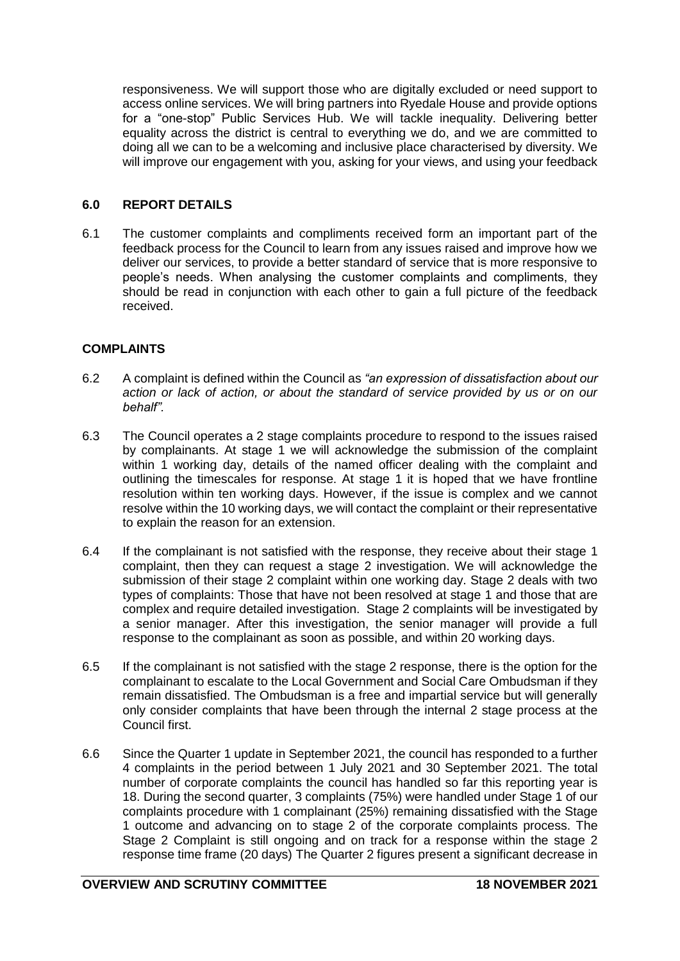responsiveness. We will support those who are digitally excluded or need support to access online services. We will bring partners into Ryedale House and provide options for a "one-stop" Public Services Hub. We will tackle inequality. Delivering better equality across the district is central to everything we do, and we are committed to doing all we can to be a welcoming and inclusive place characterised by diversity. We will improve our engagement with you, asking for your views, and using your feedback

# **6.0 REPORT DETAILS**

6.1 The customer complaints and compliments received form an important part of the feedback process for the Council to learn from any issues raised and improve how we deliver our services, to provide a better standard of service that is more responsive to people's needs. When analysing the customer complaints and compliments, they should be read in conjunction with each other to gain a full picture of the feedback received.

## **COMPLAINTS**

- 6.2 A complaint is defined within the Council as *"an expression of dissatisfaction about our action or lack of action, or about the standard of service provided by us or on our behalf".*
- 6.3 The Council operates a 2 stage complaints procedure to respond to the issues raised by complainants. At stage 1 we will acknowledge the submission of the complaint within 1 working day, details of the named officer dealing with the complaint and outlining the timescales for response. At stage 1 it is hoped that we have frontline resolution within ten working days. However, if the issue is complex and we cannot resolve within the 10 working days, we will contact the complaint or their representative to explain the reason for an extension.
- 6.4 If the complainant is not satisfied with the response, they receive about their stage 1 complaint, then they can request a stage 2 investigation. We will acknowledge the submission of their stage 2 complaint within one working day. Stage 2 deals with two types of complaints: Those that have not been resolved at stage 1 and those that are complex and require detailed investigation. Stage 2 complaints will be investigated by a senior manager. After this investigation, the senior manager will provide a full response to the complainant as soon as possible, and within 20 working days.
- 6.5 If the complainant is not satisfied with the stage 2 response, there is the option for the complainant to escalate to the Local Government and Social Care Ombudsman if they remain dissatisfied. The Ombudsman is a free and impartial service but will generally only consider complaints that have been through the internal 2 stage process at the Council first.
- 6.6 Since the Quarter 1 update in September 2021, the council has responded to a further 4 complaints in the period between 1 July 2021 and 30 September 2021. The total number of corporate complaints the council has handled so far this reporting year is 18. During the second quarter, 3 complaints (75%) were handled under Stage 1 of our complaints procedure with 1 complainant (25%) remaining dissatisfied with the Stage 1 outcome and advancing on to stage 2 of the corporate complaints process. The Stage 2 Complaint is still ongoing and on track for a response within the stage 2 response time frame (20 days) The Quarter 2 figures present a significant decrease in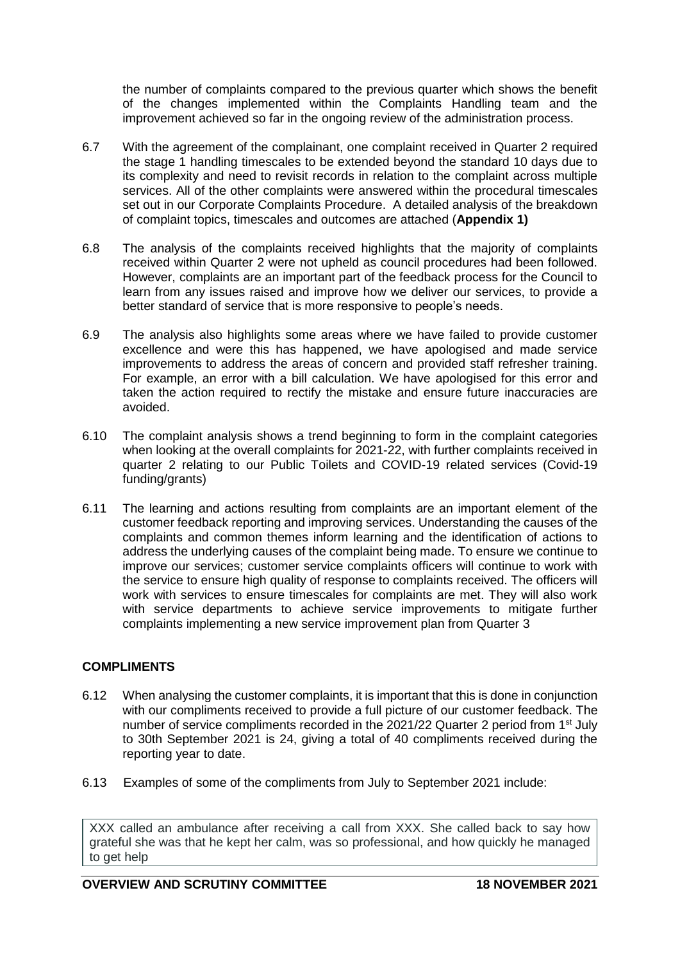the number of complaints compared to the previous quarter which shows the benefit of the changes implemented within the Complaints Handling team and the improvement achieved so far in the ongoing review of the administration process.

- 6.7 With the agreement of the complainant, one complaint received in Quarter 2 required the stage 1 handling timescales to be extended beyond the standard 10 days due to its complexity and need to revisit records in relation to the complaint across multiple services. All of the other complaints were answered within the procedural timescales set out in our Corporate Complaints Procedure. A detailed analysis of the breakdown of complaint topics, timescales and outcomes are attached (**Appendix 1)**
- 6.8 The analysis of the complaints received highlights that the majority of complaints received within Quarter 2 were not upheld as council procedures had been followed. However, complaints are an important part of the feedback process for the Council to learn from any issues raised and improve how we deliver our services, to provide a better standard of service that is more responsive to people's needs.
- 6.9 The analysis also highlights some areas where we have failed to provide customer excellence and were this has happened, we have apologised and made service improvements to address the areas of concern and provided staff refresher training. For example, an error with a bill calculation. We have apologised for this error and taken the action required to rectify the mistake and ensure future inaccuracies are avoided.
- 6.10 The complaint analysis shows a trend beginning to form in the complaint categories when looking at the overall complaints for 2021-22, with further complaints received in quarter 2 relating to our Public Toilets and COVID-19 related services (Covid-19 funding/grants)
- 6.11 The learning and actions resulting from complaints are an important element of the customer feedback reporting and improving services. Understanding the causes of the complaints and common themes inform learning and the identification of actions to address the underlying causes of the complaint being made. To ensure we continue to improve our services; customer service complaints officers will continue to work with the service to ensure high quality of response to complaints received. The officers will work with services to ensure timescales for complaints are met. They will also work with service departments to achieve service improvements to mitigate further complaints implementing a new service improvement plan from Quarter 3

# **COMPLIMENTS**

- 6.12 When analysing the customer complaints, it is important that this is done in conjunction with our compliments received to provide a full picture of our customer feedback. The number of service compliments recorded in the  $2021/22$  Quarter 2 period from  $1<sup>st</sup>$  July to 30th September 2021 is 24, giving a total of 40 compliments received during the reporting year to date.
- 6.13 Examples of some of the compliments from July to September 2021 include:

XXX called an ambulance after receiving a call from XXX. She called back to say how grateful she was that he kept her calm, was so professional, and how quickly he managed to get help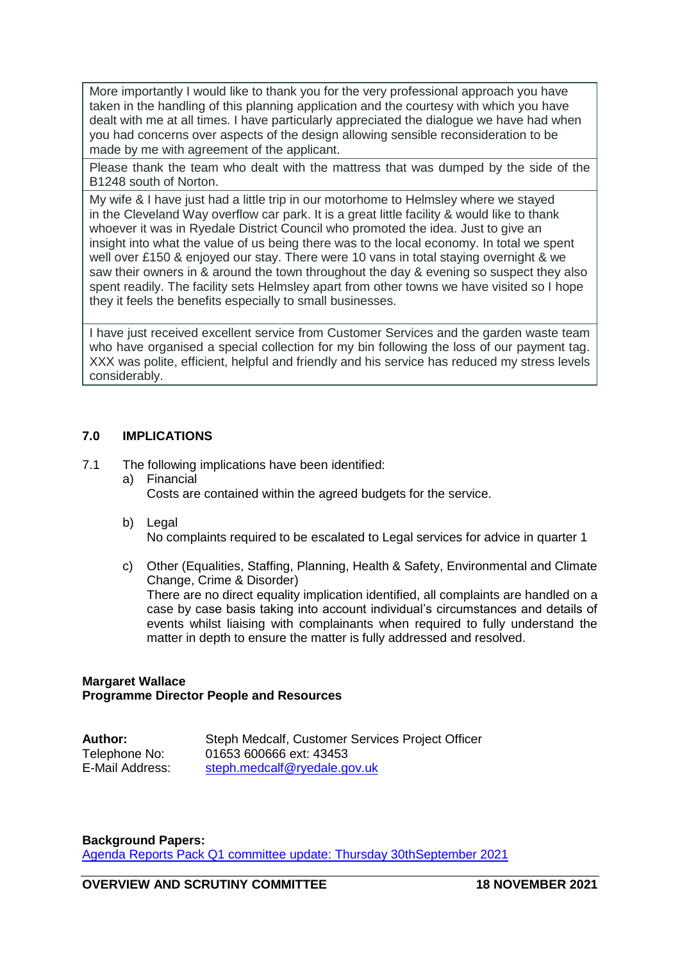More importantly I would like to thank you for the very professional approach you have taken in the handling of this planning application and the courtesy with which you have dealt with me at all times. I have particularly appreciated the dialogue we have had when you had concerns over aspects of the design allowing sensible reconsideration to be made by me with agreement of the applicant.

Please thank the team who dealt with the mattress that was dumped by the side of the B1248 south of Norton.

My wife & I have just had a little trip in our motorhome to Helmsley where we stayed in the Cleveland Way overflow car park. It is a great little facility & would like to thank whoever it was in Ryedale District Council who promoted the idea. Just to give an insight into what the value of us being there was to the local economy. In total we spent well over £150 & enjoyed our stay. There were 10 vans in total staying overnight & we saw their owners in & around the town throughout the day & evening so suspect they also spent readily. The facility sets Helmsley apart from other towns we have visited so I hope they it feels the benefits especially to small businesses.

I have just received excellent service from Customer Services and the garden waste team who have organised a special collection for my bin following the loss of our payment tag. XXX was polite, efficient, helpful and friendly and his service has reduced my stress levels considerably.

## **7.0 IMPLICATIONS**

- 7.1 The following implications have been identified:
	- a) Financial Costs are contained within the agreed budgets for the service.
	- b) Legal No complaints required to be escalated to Legal services for advice in quarter 1
	- c) Other (Equalities, Staffing, Planning, Health & Safety, Environmental and Climate Change, Crime & Disorder) There are no direct equality implication identified, all complaints are handled on a case by case basis taking into account individual's circumstances and details of events whilst liaising with complainants when required to fully understand the matter in depth to ensure the matter is fully addressed and resolved.

## **Margaret Wallace Programme Director People and Resources**

| <b>Author:</b>  | Steph Medcalf, Customer Services Project Officer |
|-----------------|--------------------------------------------------|
| Telephone No:   | 01653 600666 ext: 43453                          |
| E-Mail Address: | steph.medcalf@ryedale.gov.uk                     |

## **Background Papers:**

[Agenda Reports Pack Q1 committee update: Thursday 30thSeptember 2021](https://democracy.ryedale.gov.uk/documents/g3436/Public%20reports%20pack%2030th-Sep-2021%2018.30%20Overview%20and%20Scrutiny%20Committee.pdf?T=10)